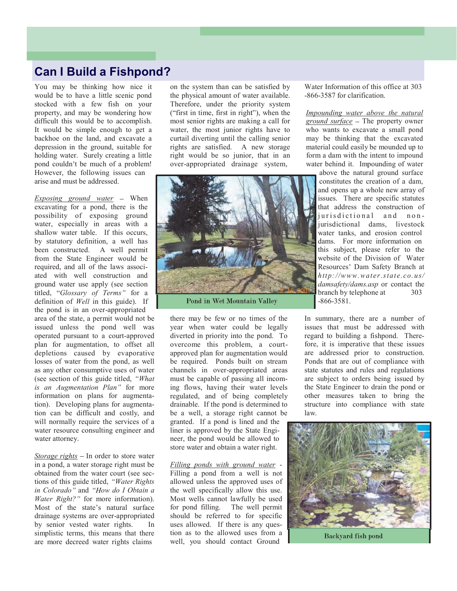## Can I Build a Fishpond?

You may be thinking how nice it would be to have a little scenic pond stocked with a few fish on your property, and may be wondering how difficult this would be to accomplish. It would be simple enough to get a backhoe on the land, and excavate a depression in the ground, suitable for holding water. Surely creating a little pond couldn't be much of a problem! However, the following issues can **Can I Build a Fishpond?**<br>
You may be thinking how nice it on the system than can be satisfied by<br>
would be to have a little scenic pond<br>
the physical amount of water available.<br>
stocked with a few fish on your Therefore,

Exposing ground water  $-$  When excavating for a pond, there is the possibility of exposing ground water, especially in areas with a shallow water table. If this occurs, by statutory definition, a well has been constructed. A well permit from the State Engineer would be required, and all of the laws associground water use apply (see section titled, "Glossary of Terms" for a<br>definition of Well in this guide). If Pond in Wet Mountain Valley definition of *Well* in this guide). If the pond is in an over-appropriated

issued unless the pond well was operated pursuant to a court-approved depletions caused by evaporative losses of water from the pond, as well as any other consumptive uses of water<br>(see section of this guide titled, "What is an Augmentation Plan" for more information on plans for augmentation). Developing plans for augmentation can be difficult and costly, and water resource consulting engineer and water attorney.

Storage rights  $-$  In order to store water obtained from the water court (see sections of this guide titled, "Water Rights in Colorado" and "How do I Obtain  $a$ Water Right?" for more information). Most of the state's natural surface for pond filling. drainage systems are over-appropriated by senior vested water rights. In simplistic terms, this means that there are more decreed water rights claims

on the system than can be satisfied by the physical amount of water available. Therefore, under the priority system ("first in time, first in right"), when the most senior rights are making a call for water, the most junior rights have to curtail diverting until the calling senior rights are satisfied. A new storage right would be so junior, that in an over-appropriated drainage system,



shallow water table. If this occurs,<br>been constructed. A well permit<br>been constructed. A well permit<br>from the State Engineer would be<br>exercuent and all of the law associates of and all of the law space<br>and with well const ated with well construction and<br>
ground water use apply (see section<br>
dited, "Glossary of Terms" for a<br>
definition of *Well* in this guide). If<br>
the pond in Wet Mountain Valley<br>
the pond in Wet Mountain Valley<br>
area of th there may be few or no times of the year when water could be legally diverted in priority into the pond. To overcome this problem, a courtapproved plan for augmentation would be required. Ponds built on stream channels in over-appropriated areas must be capable of passing all incoming flows, having their water levels regulated, and of being completely drainable. If the pond is determined to be a well, a storage right cannot be granted. If a pond is lined and the liner is approved by the State Engineer, the pond would be allowed to store water and obtain a water right.

Filling ponds with ground water -<br>Filling a pond from a well is not allowed unless the approved uses of the well specifically allow this use. Most wells cannot lawfully be used The well permit should be referred to for specific uses allowed. If there is any question as to the allowed uses from a Backyard fish pond well, you should contact Ground

Water Information of this office at 303 -866-3587 for clarification.

Impounding water above the natural ground surface  $-$  The property owner who wants to excavate a small pond may be thinking that the excavated material could easily be mounded up to form a dam with the intent to impound water behind it. Impounding of water

above the natural ground surface constitutes the creation of a dam, and opens up a whole new array of issues. There are specific statutes that address the construction of jurisdictional and nonjurisdictional dams, livestock water tanks, and erosion control dams. For more information on this subject, please refer to the website of the Division of Water Resources' Dam Safety Branch at http://www.water.state.co.us/ damsafety/dams.asp or contact the branch by telephone at 303 -866-3581.

In summary, there are a number of issues that must be addressed with regard to building a fishpond. Therefore, it is imperative that these issues are addressed prior to construction. Ponds that are out of compliance with state statutes and rules and regulations are subject to orders being issued by the State Engineer to drain the pond or other measures taken to bring the structure into compliance with state law.